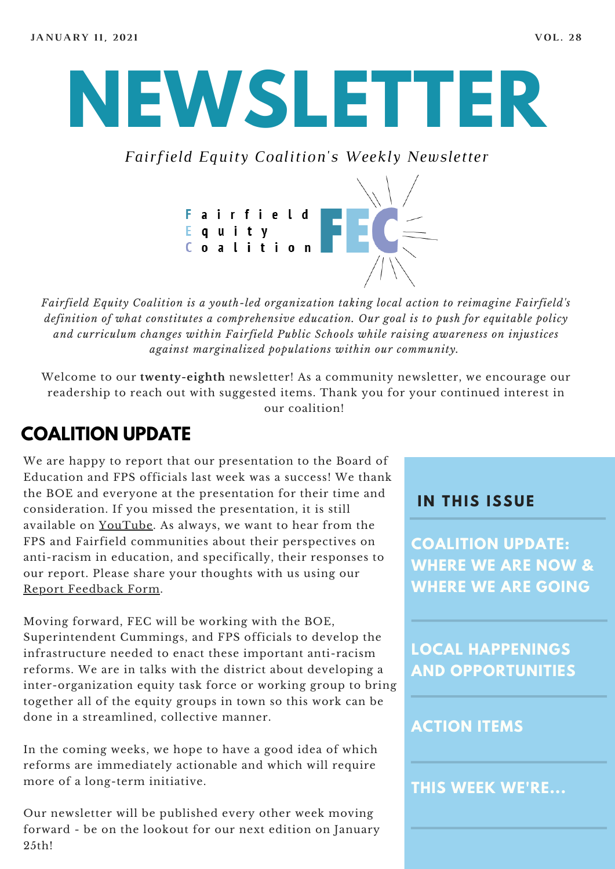# **NEWSLETTER**

*Fairfield Equity Coalition's Weekly Newsletter*



*Fairfield Equity Coalition is a youth-led organization taking local action to reimagine Fairfield's definition of what constitutes a comprehensive education. Our goal is to push for equitable policy and curriculum changes within Fairfield Public Schools while raising awareness on injustices against marginalized populations within our community.*

Welcome to our **twenty-eighth** newsletter! As a community newsletter, we encourage our readership to reach out with suggested items. Thank you for your continued interest in our coalition!

### **COALITION UPDATE**

We are happy to report that our presentation to the Board of Education and FPS officials last week was a success! We thank the BOE and everyone at the presentation for their time and consideration. If you missed the presentation, it is still available on [YouTube](https://www.youtube.com/watch?v=Y9y4D5SGeUs&feature=youtu.be). As always, we want to hear from the FPS and Fairfield communities about their perspectives on anti-racism in education, and specifically, their responses to our report. Please share your thoughts with us using our Report [Feedback](https://docs.google.com/forms/d/e/1FAIpQLScY9Dz6097MxFdk9-UGAu6T-qz2bcMlfVvN4zxnr6QquCVIQA/viewform) Form.

Moving forward, FEC will be working with the BOE, Superintendent Cummings, and FPS officials to develop the infrastructure needed to enact these important anti-racism reforms. We are in talks with the district about developing a inter-organization equity task force or working group to bring together all of the equity groups in town so this work can be done in a streamlined, collective manner.

In the coming weeks, we hope to have a good idea of which reforms are immediately actionable and which will require more of a long-term initiative.

Our newsletter will be published every other week moving forward - be on the lookout for our next edition on January 25th!

#### **I N THIS ISSUE**

**COALITION UPDATE: WHERE WE ARE NOW & WHERE WE ARE GOING**

**LOCAL HAPPENINGS AND OPPORTUNITIES**

#### **ACTION ITEMS**

**THIS WEEK WE'RE...**